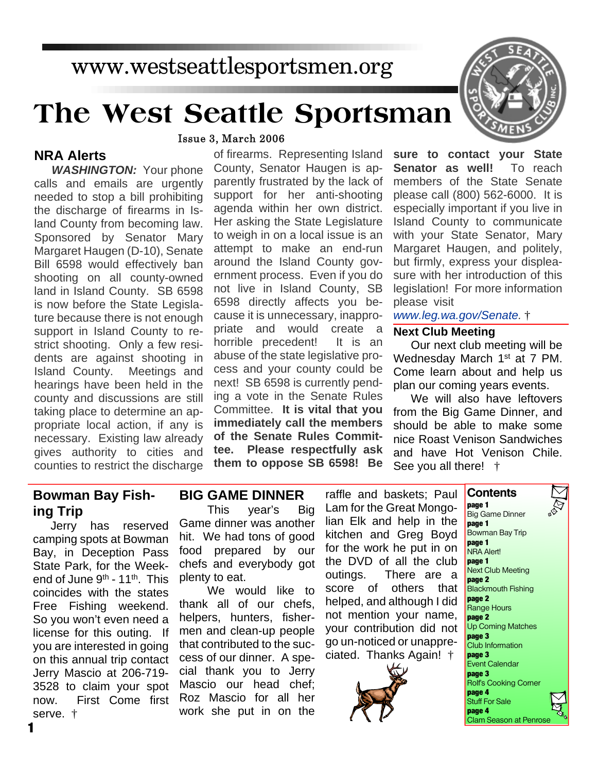## www.westseattlesportsmen.org

# **The West Seattle Sportsman**



#### **NRA Alerts**

*WASHINGTON:* Your phone calls and emails are urgently needed to stop a bill prohibiting the discharge of firearms in Island County from becoming law. Sponsored by Senator Mary Margaret Haugen (D-10), Senate Bill 6598 would effectively ban shooting on all county-owned land in Island County. SB 6598 is now before the State Legislature because there is not enough support in Island County to restrict shooting. Only a few residents are against shooting in Island County. Meetings and hearings have been held in the county and discussions are still taking place to determine an appropriate local action, if any is necessary. Existing law already gives authority to cities and counties to restrict the discharge

#### of firearms. Representing Island County, Senator Haugen is apparently frustrated by the lack of support for her anti-shooting agenda within her own district. Her asking the State Legislature to weigh in on a local issue is an attempt to make an end-run around the Island County government process. Even if you do not live in Island County, SB 6598 directly affects you because it is unnecessary, inappropriate and would create a horrible precedent! It is an abuse of the state legislative pro**sure to contact your State Senator as well!** To reach members of the State Senate please call (800) 562-6000. It is especially important if you live in Island County to communicate with your State Senator, Mary Margaret Haugen, and politely, but firmly, express your displeasure with her introduction of this legislation! For more information please visit *www.leg.wa.gov/Senate.* † **Next Club Meeting**

Our next club meeting will be Wednesday March 1<sup>st</sup> at 7 PM. Come learn about and help us plan our coming years events.

We will also have leftovers from the Big Game Dinner, and should be able to make some nice Roast Venison Sandwiches and have Hot Venison Chile. See you all there! †

#### **Bowman Bay Fishing Trip**

Jerry has reserved camping spots at Bowman Bay, in Deception Pass State Park, for the Weekend of June  $9<sup>th</sup>$  - 11<sup>th</sup>. This coincides with the states Free Fishing weekend. So you won't even need a license for this outing. If you are interested in going on this annual trip contact Jerry Mascio at 206-719- 3528 to claim your spot now. First Come first serve. †

#### **BIG GAME DINNER**

cess and your county could be next! SB 6598 is currently pending a vote in the Senate Rules Committee. **It is vital that you immediately call the members of the Senate Rules Committee. Please respectfully ask them to oppose SB 6598! Be**

This year's Big Game dinner was another hit. We had tons of good food prepared by our chefs and everybody got plenty to eat.

We would like to thank all of our chefs, helpers, hunters, fishermen and clean-up people that contributed to the success of our dinner. A special thank you to Jerry Mascio our head chef; Roz Mascio for all her work she put in on the raffle and baskets; Paul Lam for the Great Mongolian Elk and help in the kitchen and Greg Boyd for the work he put in on the DVD of all the club outings. There are a score of others that helped, and although I did not mention your name, your contribution did not go un-noticed or unappreciated. Thanks Again! †





**1**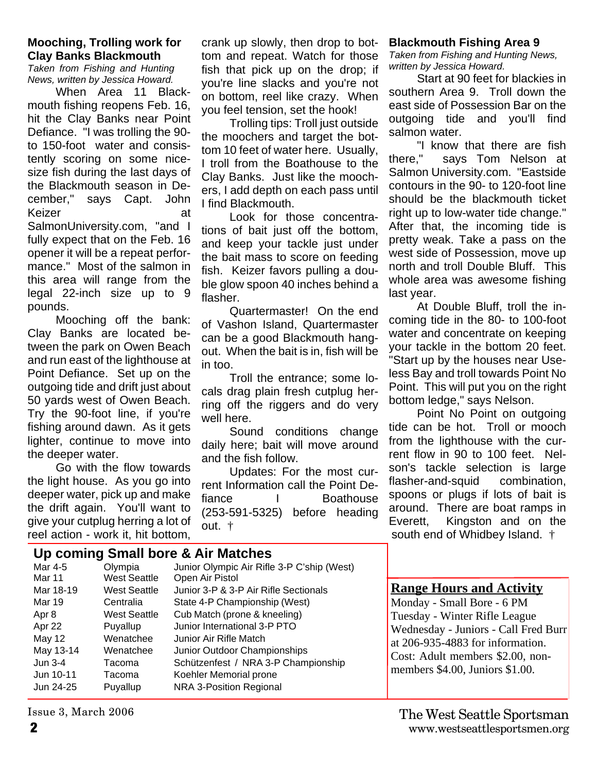#### **Mooching, Trolling work for Clay Banks Blackmouth**

*Taken from Fishing and Hunting News, written by Jessica Howard.*

When Area 11 Blackmouth fishing reopens Feb. 16, hit the Clay Banks near Point Defiance. "I was trolling the 90 to 150-foot water and consistently scoring on some nicesize fish during the last days of the Blackmouth season in December," says Capt. John Keizer at SalmonUniversity.com, "and I fully expect that on the Feb. 16 opener it will be a repeat performance." Most of the salmon in this area will range from the legal 22-inch size up to 9 pounds.

Mooching off the bank: Clay Banks are located between the park on Owen Beach and run east of the lighthouse at Point Defiance. Set up on the outgoing tide and drift just about 50 yards west of Owen Beach. Try the 90-foot line, if you're fishing around dawn. As it gets lighter, continue to move into the deeper water.

Go with the flow towards the light house. As you go into deeper water, pick up and make the drift again. You'll want to give your cutplug herring a lot of reel action - work it, hit bottom,

crank up slowly, then drop to bottom and repeat. Watch for those fish that pick up on the drop; if you're line slacks and you're not on bottom, reel like crazy. When you feel tension, set the hook!

Trolling tips: Troll just outside the moochers and target the bottom 10 feet of water here. Usually, I troll from the Boathouse to the Clay Banks. Just like the moochers, I add depth on each pass until I find Blackmouth.

Look for those concentrations of bait just off the bottom, and keep your tackle just under the bait mass to score on feeding fish. Keizer favors pulling a double glow spoon 40 inches behind a flasher.

Quartermaster! On the end of Vashon Island, Quartermaster can be a good Blackmouth hangout. When the bait is in, fish will be in too.

Troll the entrance; some locals drag plain fresh cutplug herring off the riggers and do very well here.

Sound conditions change daily here; bait will move around and the fish follow.

Updates: For the most current Information call the Point De-<br>fiance lacked boathouse I Boathouse (253-591-5325) before heading out. †

#### **Blackmouth Fishing Area 9**

*Taken from Fishing and Hunting News, written by Jessica Howard.*

Start at 90 feet for blackies in southern Area 9. Troll down the east side of Possession Bar on the outgoing tide and you'll find salmon water.

"I know that there are fish there," says Tom Nelson at Salmon University.com. "Eastside contours in the 90- to 120-foot line should be the blackmouth ticket right up to low-water tide change." After that, the incoming tide is pretty weak. Take a pass on the west side of Possession, move up north and troll Double Bluff. This whole area was awesome fishing last year.

At Double Bluff, troll the incoming tide in the 80- to 100-foot water and concentrate on keeping your tackle in the bottom 20 feet. "Start up by the houses near Useless Bay and troll towards Point No Point. This will put you on the right bottom ledge," says Nelson.

Point No Point on outgoing tide can be hot. Troll or mooch from the lighthouse with the current flow in 90 to 100 feet. Nelson's tackle selection is large flasher-and-squid combination, spoons or plugs if lots of bait is around. There are boat ramps in Everett, Kingston and on the south end of Whidbey Island. †

#### **Up coming Small bore & Air Matches**

| Mar 4-5   | Olympia             | Junior Olympic Air Rifle 3-P C'ship (West) |
|-----------|---------------------|--------------------------------------------|
| Mar 11    | <b>West Seattle</b> | Open Air Pistol                            |
| Mar 18-19 | West Seattle        | Junior 3-P & 3-P Air Rifle Sectionals      |
| Mar 19    | Centralia           | State 4-P Championship (West)              |
| Apr 8     | West Seattle        | Cub Match (prone & kneeling)               |
| Apr 22    | Puyallup            | Junior International 3-P PTO               |
| May 12    | Wenatchee           | Junior Air Rifle Match                     |
| May 13-14 | Wenatchee           | Junior Outdoor Championships               |
| Jun 3-4   | Tacoma              | Schützenfest / NRA 3-P Championship        |
| Jun 10-11 | Tacoma              | Koehler Memorial prone                     |
| Jun 24-25 | Puyallup            | NRA 3-Position Regional                    |
|           |                     |                                            |

**Range Hours and Activity**

Monday - Small Bore - 6 PM Tuesday - Winter Rifle League Wednesday - Juniors - Call Fred Burr at 206-935-4883 for information. Cost: Adult members \$2.00, nonmembers \$4.00, Juniors \$1.00.

Issue 3, March 2006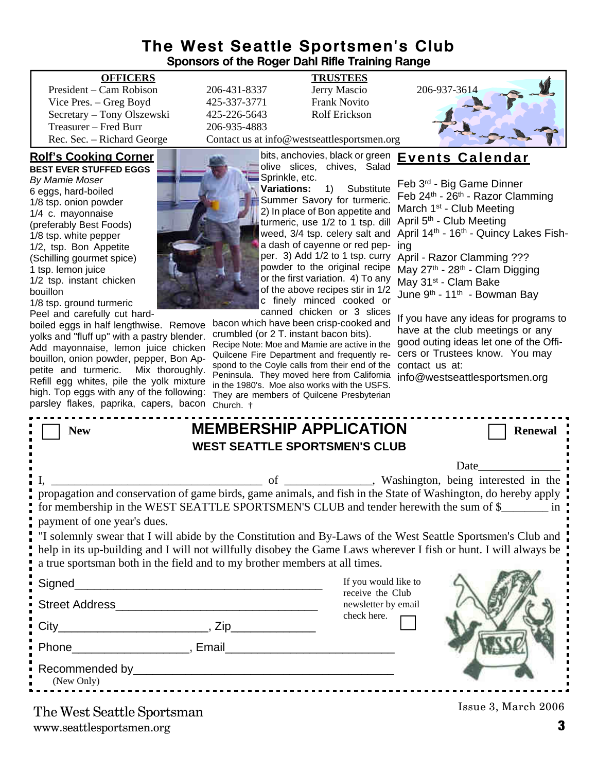### **The West Seattle Sportsmen's Club Sponsors of the Roger Dahl Rifle Training Range**

President – Cam Robison 206-431-8337 Jerry Mascio 206-937-3614 Vice Pres. – Greg Boyd 425-337-3771 Frank Novito Secretary – Tony Olszewski 425-226-5643 Rolf Erickson Treasurer – Fred Burr 206-935-4883 Rec. Sec. – Richard George Contact us at info@westseattlesportsmen.org

#### **Rolf's Cooking Corner**

**BEST EVER STUFFED EGGS** *By Mamie Moser* 6 eggs, hard-boiled 1/8 tsp. onion powder 1/4 c. mayonnaise (preferably Best Foods) 1/8 tsp. white pepper 1/2, tsp. Bon Appetite (Schilling gourmet spice) 1 tsp. lemon juice 1/2 tsp. instant chicken bouillon

1/8 tsp. ground turmeric Peel and carefully cut hard-

boiled eggs in half lengthwise. Remove yolks and "fluff up" with a pastry blender. Add mayonnaise, lemon juice chicken bouillon, onion powder, pepper, Bon Appetite and turmeric. Mix thoroughly. Refill egg whites, pile the yolk mixture high. Top eggs with any of the following: parsley flakes, paprika, capers, bacon



#### **OFFICERS TRUSTEES**

powder to the original recipe or the first variation. 4) To any of the above recipes stir in 1/2 c finely minced cooked or canned chicken or 3 slices

bacon which have been crisp-cooked and crumbled (or 2 T. instant bacon bits). Recipe Note: Moe and Mamie are active in the Quilcene Fire Department and frequently respond to the Coyle calls from their end of the Peninsula. They moved here from California in the 1980's. Moe also works with the USFS. They are members of Quilcene Presbyterian



### bits, anchovies, black or green **Events Calendar**

turmeric, use 1/2 to 1 tsp. dill April 5<sup>th</sup> - Club Meeting weed, 3/4 tsp. celery salt and April 14<sup>th</sup> - 16<sup>th</sup> - Quincy Lakes Fisha dash of cayenne or red pep-ing per. 3) Add 1/2 to 1 tsp. curry April - Razor Clamming ??? Feb 3rd - Big Game Dinner Feb 24th - 26th - Razor Clamming March 1<sup>st</sup> - Club Meeting May 27<sup>th</sup> - 28<sup>th</sup> - Clam Digging May 31<sup>st</sup> - Clam Bake June 9<sup>th</sup> - 11<sup>th</sup> - Bowman Bav

> If you have any ideas for programs to have at the club meetings or any good outing ideas let one of the Officers or Trustees know. You may contact us at:

info@westseattlesportsmen.org

| parsley flakes, paprika, capers, bacon Church. +                                                                                                                                                                                                                                                                                                                                                                                                                                                                                                                                                                  |                               |                                         |                     |  |  |
|-------------------------------------------------------------------------------------------------------------------------------------------------------------------------------------------------------------------------------------------------------------------------------------------------------------------------------------------------------------------------------------------------------------------------------------------------------------------------------------------------------------------------------------------------------------------------------------------------------------------|-------------------------------|-----------------------------------------|---------------------|--|--|
| <b>New</b>                                                                                                                                                                                                                                                                                                                                                                                                                                                                                                                                                                                                        | <b>MEMBERSHIP APPLICATION</b> |                                         | <b>Renewal</b>      |  |  |
| <b>WEST SEATTLE SPORTSMEN'S CLUB</b>                                                                                                                                                                                                                                                                                                                                                                                                                                                                                                                                                                              |                               |                                         |                     |  |  |
|                                                                                                                                                                                                                                                                                                                                                                                                                                                                                                                                                                                                                   |                               |                                         | Date                |  |  |
| University of The Mashington, being interested in the<br>propagation and conservation of game birds, game animals, and fish in the State of Washington, do hereby apply<br>for membership in the WEST SEATTLE SPORTSMEN'S CLUB and tender herewith the sum of \$<br>payment of one year's dues.<br>If solemnly swear that I will abide by the Constitution and By-Laws of the West Seattle Sportsmen's Club and<br>help in its up-building and I will not willfully disobey the Game Laws wherever I fish or hunt. I will always be<br>a true sportsman both in the field and to my brother members at all times. |                               |                                         |                     |  |  |
| Signed_                                                                                                                                                                                                                                                                                                                                                                                                                                                                                                                                                                                                           |                               | If you would like to                    |                     |  |  |
| <b>Street Address</b>                                                                                                                                                                                                                                                                                                                                                                                                                                                                                                                                                                                             |                               | receive the Club<br>newsletter by email |                     |  |  |
|                                                                                                                                                                                                                                                                                                                                                                                                                                                                                                                                                                                                                   |                               | check here.                             |                     |  |  |
| Phone <b>Phone Phone Phone Phone Phone Phone Phone Phone Phone Phone Phone Phone Phone Phone Phone Phone Phone Phone Phone Phone Phone Phone Phone Phone Phone Phone Phone</b>                                                                                                                                                                                                                                                                                                                                                                                                                                    |                               |                                         |                     |  |  |
| (New Only)                                                                                                                                                                                                                                                                                                                                                                                                                                                                                                                                                                                                        |                               |                                         |                     |  |  |
| The West Seattle Sportsman                                                                                                                                                                                                                                                                                                                                                                                                                                                                                                                                                                                        |                               |                                         | Issue 3, March 2006 |  |  |

www.seattlesportsmen.org **3** The West Seattle Sportsman